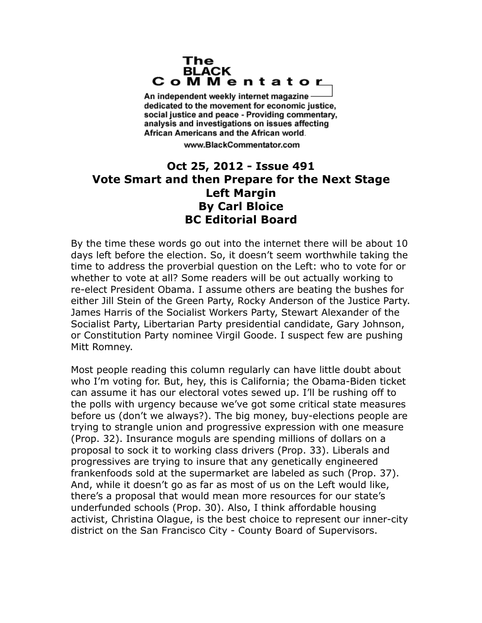## The **BLACK** CoMMentator

An independent weekly internet magazine dedicated to the movement for economic justice. social justice and peace - Providing commentary, analysis and investigations on issues affecting African Americans and the African world.

www.BlackCommentator.com

## **Oct 25, 2012 - Issue 491 Vote Smart and then Prepare for the Next Stage Left Margin By Carl Bloice BC Editorial Board**

By the time these words go out into the internet there will be about 10 days left before the election. So, it doesn't seem worthwhile taking the time to address the proverbial question on the Left: who to vote for or whether to vote at all? Some readers will be out actually working to re-elect President Obama. I assume others are beating the bushes for either Jill Stein of the Green Party, Rocky Anderson of the Justice Party. James Harris of the Socialist Workers Party, Stewart Alexander of the Socialist Party, Libertarian Party presidential candidate, Gary Johnson, or Constitution Party nominee Virgil Goode. I suspect few are pushing Mitt Romney.

Most people reading this column regularly can have little doubt about who I'm voting for. But, hey, this is California; the Obama-Biden ticket can assume it has our electoral votes sewed up. I'll be rushing off to the polls with urgency because we've got some critical state measures before us (don't we always?). The big money, buy-elections people are trying to strangle union and progressive expression with one measure (Prop. 32). Insurance moguls are spending millions of dollars on a proposal to sock it to working class drivers (Prop. 33). Liberals and progressives are trying to insure that any genetically engineered frankenfoods sold at the supermarket are labeled as such (Prop. 37). And, while it doesn't go as far as most of us on the Left would like, there's a proposal that would mean more resources for our state's underfunded schools (Prop. 30). Also, I think affordable housing activist, Christina Olague, is the best choice to represent our inner-city district on the San Francisco City - County Board of Supervisors.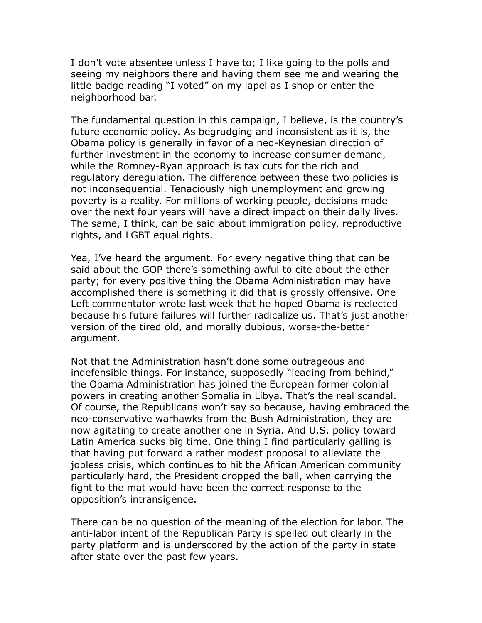I don't vote absentee unless I have to; I like going to the polls and seeing my neighbors there and having them see me and wearing the little badge reading "I voted" on my lapel as I shop or enter the neighborhood bar.

The fundamental question in this campaign, I believe, is the country's future economic policy. As begrudging and inconsistent as it is, the Obama policy is generally in favor of a neo-Keynesian direction of further investment in the economy to increase consumer demand, while the Romney-Ryan approach is tax cuts for the rich and regulatory deregulation. The difference between these two policies is not inconsequential. Tenaciously high unemployment and growing poverty is a reality. For millions of working people, decisions made over the next four years will have a direct impact on their daily lives. The same, I think, can be said about immigration policy, reproductive rights, and LGBT equal rights.

Yea, I've heard the argument. For every negative thing that can be said about the GOP there's something awful to cite about the other party; for every positive thing the Obama Administration may have accomplished there is something it did that is grossly offensive. One Left commentator wrote last week that he hoped Obama is reelected because his future failures will further radicalize us. That's just another version of the tired old, and morally dubious, worse-the-better argument.

Not that the Administration hasn't done some outrageous and indefensible things. For instance, supposedly "leading from behind," the Obama Administration has joined the European former colonial powers in creating another Somalia in Libya. That's the real scandal. Of course, the Republicans won't say so because, having embraced the neo-conservative warhawks from the Bush Administration, they are now agitating to create another one in Syria. And U.S. policy toward Latin America sucks big time. One thing I find particularly galling is that having put forward a rather modest proposal to alleviate the jobless crisis, which continues to hit the African American community particularly hard, the President dropped the ball, when carrying the fight to the mat would have been the correct response to the opposition's intransigence.

There can be no question of the meaning of the election for labor. The anti-labor intent of the Republican Party is spelled out clearly in the party platform and is underscored by the action of the party in state after state over the past few years.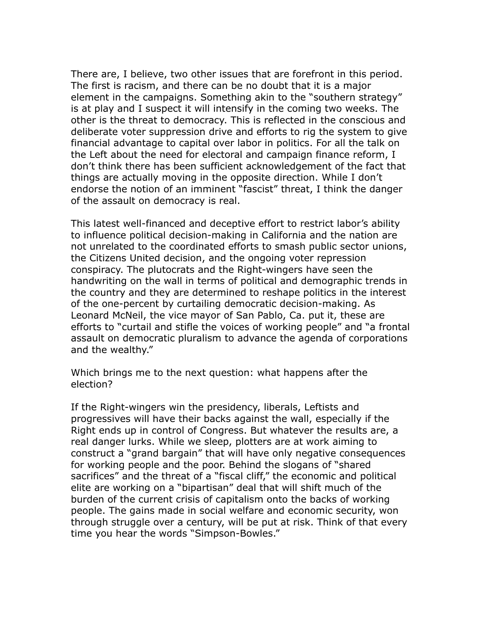There are, I believe, two other issues that are forefront in this period. The first is racism, and there can be no doubt that it is a major element in the campaigns. Something akin to the "southern strategy" is at play and I suspect it will intensify in the coming two weeks. The other is the threat to democracy. This is reflected in the conscious and deliberate voter suppression drive and efforts to rig the system to give financial advantage to capital over labor in politics. For all the talk on the Left about the need for electoral and campaign finance reform, I don't think there has been sufficient acknowledgement of the fact that things are actually moving in the opposite direction. While I don't endorse the notion of an imminent "fascist" threat, I think the danger of the assault on democracy is real.

This latest well-financed and deceptive effort to restrict labor's ability to influence political decision-making in California and the nation are not unrelated to the coordinated efforts to smash public sector unions, the Citizens United decision, and the ongoing voter repression conspiracy. The plutocrats and the Right-wingers have seen the handwriting on the wall in terms of political and demographic trends in the country and they are determined to reshape politics in the interest of the one-percent by curtailing democratic decision-making. As Leonard McNeil, the vice mayor of San Pablo, Ca. put it, these are efforts to "curtail and stifle the voices of working people" and "a frontal assault on democratic pluralism to advance the agenda of corporations and the wealthy."

Which brings me to the next question: what happens after the election?

If the Right-wingers win the presidency, liberals, Leftists and progressives will have their backs against the wall, especially if the Right ends up in control of Congress. But whatever the results are, a real danger lurks. While we sleep, plotters are at work aiming to construct a "grand bargain" that will have only negative consequences for working people and the poor. Behind the slogans of "shared sacrifices" and the threat of a "fiscal cliff," the economic and political elite are working on a "bipartisan" deal that will shift much of the burden of the current crisis of capitalism onto the backs of working people. The gains made in social welfare and economic security, won through struggle over a century, will be put at risk. Think of that every time you hear the words "Simpson-Bowles."